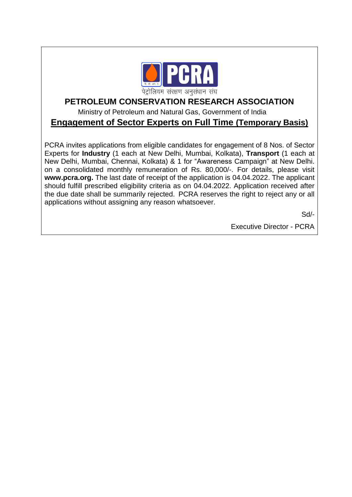

## **PETROLEUM CONSERVATION RESEARCH ASSOCIATION**

Ministry of Petroleum and Natural Gas, Government of India

## **Engagement of Sector Experts on Full Time (Temporary Basis)**

PCRA invites applications from eligible candidates for engagement of 8 Nos. of Sector Experts for **Industry** (1 each at New Delhi, Mumbai, Kolkata), **Transport** (1 each at New Delhi, Mumbai, Chennai, Kolkata) & 1 for "Awareness Campaign" at New Delhi. on a consolidated monthly remuneration of Rs. 80,000/-. For details, please visit **www.pcra.org.** The last date of receipt of the application is 04.04.2022. The applicant should fulfill prescribed eligibility criteria as on 04.04.2022. Application received after the due date shall be summarily rejected. PCRA reserves the right to reject any or all applications without assigning any reason whatsoever.

Sd/-

Executive Director - PCRA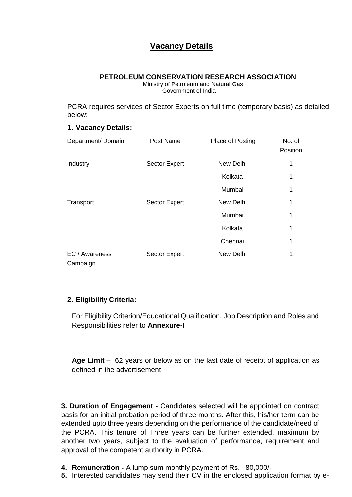# **Vacancy Details**

#### **PETROLEUM CONSERVATION RESEARCH ASSOCIATION**

 Ministry of Petroleum and Natural Gas Government of India

PCRA requires services of Sector Experts on full time (temporary basis) as detailed below:

#### **1. Vacancy Details:**

| Department/ Domain         | Post Name     | Place of Posting | No. of<br>Position |
|----------------------------|---------------|------------------|--------------------|
| Industry                   | Sector Expert | New Delhi        |                    |
|                            |               | Kolkata          | 1                  |
|                            |               | Mumbai           |                    |
| Transport                  | Sector Expert | New Delhi        |                    |
|                            |               | Mumbai           | 1                  |
|                            |               | Kolkata          | 1                  |
|                            |               | Chennai          | 1                  |
| EC / Awareness<br>Campaign | Sector Expert | New Delhi        |                    |

### **2. Eligibility Criteria:**

For Eligibility Criterion/Educational Qualification, Job Description and Roles and Responsibilities refer to **Annexure-I**

**Age Limit** – 62 years or below as on the last date of receipt of application as defined in the advertisement

**3. Duration of Engagement -** Candidates selected will be appointed on contract basis for an initial probation period of three months. After this, his/her term can be extended upto three years depending on the performance of the candidate/need of the PCRA. This tenure of Three years can be further extended, maximum by another two years, subject to the evaluation of performance, requirement and approval of the competent authority in PCRA.

- **4. Remuneration -** A lump sum monthly payment of Rs. 80,000/-
- **5.** Interested candidates may send their CV in the enclosed application format by e-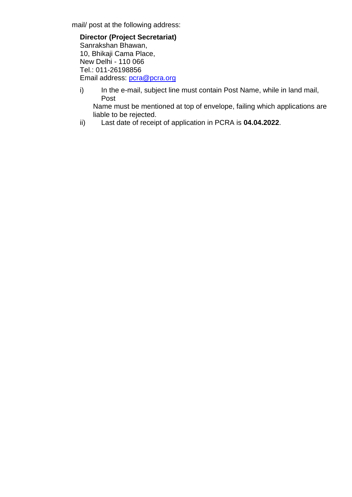mail/ post at the following address:

**Director (Project Secretariat)** Sanrakshan Bhawan, 10, Bhikaji Cama Place, New Delhi - 110 066 Tel.: 011-26198856 Email address: [pcra@pcra.org](mailto:pcra@pcra.org)

i) In the e-mail, subject line must contain Post Name, while in land mail, Post

Name must be mentioned at top of envelope, failing which applications are liable to be rejected.

ii) Last date of receipt of application in PCRA is **04.04.2022**.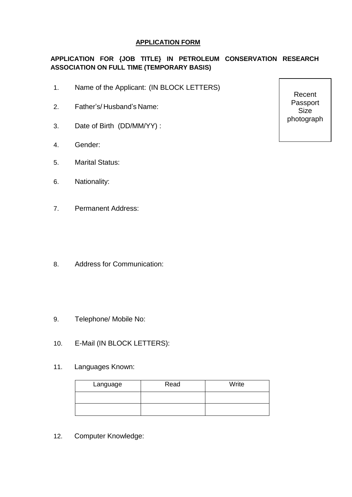#### **APPLICATION FORM**

## **APPLICATION FOR {JOB TITLE} IN PETROLEUM CONSERVATION RESEARCH ASSOCIATION ON FULL TIME (TEMPORARY BASIS)**

- 1. Name of the Applicant: (IN BLOCK LETTERS)
- 2. Father's/ Husband's Name:
- 3. Date of Birth (DD/MM/YY) :
- 4. Gender:
- 5. Marital Status:
- 6. Nationality:
- 7. Permanent Address:
- 8. Address for Communication:
- 9. Telephone/ Mobile No:
- 10. E-Mail (IN BLOCK LETTERS):
- 11. Languages Known:

| Language | Read | Write |
|----------|------|-------|
|          |      |       |
|          |      |       |

12. Computer Knowledge:

Recent Passport Size photograph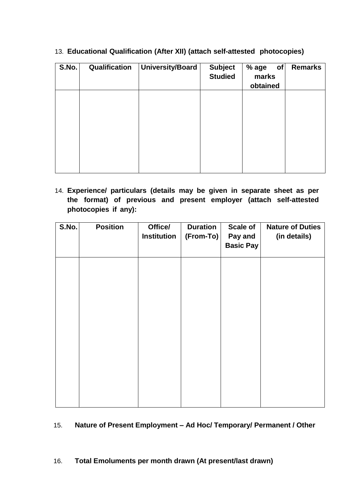| S.No. | Qualification | University/Board | <b>Subject</b><br><b>Studied</b> | % age<br>of<br>marks<br>obtained | <b>Remarks</b> |
|-------|---------------|------------------|----------------------------------|----------------------------------|----------------|
|       |               |                  |                                  |                                  |                |
|       |               |                  |                                  |                                  |                |
|       |               |                  |                                  |                                  |                |

13. **Educational Qualification (After XII) (attach self-attested photocopies)**

14. **Experience/ particulars (details may be given in separate sheet as per the format) of previous and present employer (attach self-attested photocopies if any):**

| S.No. | <b>Position</b> | Office/<br><b>Institution</b> | <b>Duration</b><br>$(From-To)$ | <b>Scale of</b><br>Pay and<br><b>Basic Pay</b> | <b>Nature of Duties</b><br>(in details) |
|-------|-----------------|-------------------------------|--------------------------------|------------------------------------------------|-----------------------------------------|
|       |                 |                               |                                |                                                |                                         |
|       |                 |                               |                                |                                                |                                         |
|       |                 |                               |                                |                                                |                                         |
|       |                 |                               |                                |                                                |                                         |
|       |                 |                               |                                |                                                |                                         |

#### 15. **Nature of Present Employment – Ad Hoc/ Temporary/ Permanent / Other**

#### 16. **Total Emoluments per month drawn (At present/last drawn)**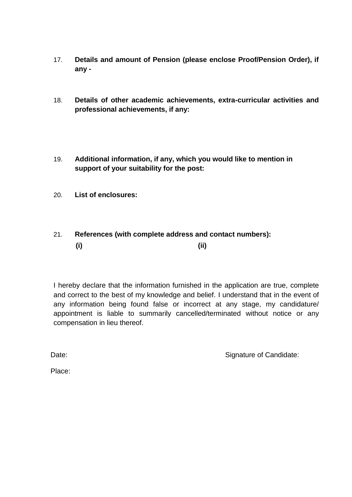- 17. **Details and amount of Pension (please enclose Proof/Pension Order), if any -**
- 18. **Details of other academic achievements, extra-curricular activities and professional achievements, if any:**
- 19. **Additional information, if any, which you would like to mention in support of your suitability for the post:**
- 20. **List of enclosures:**

## 21. **References (with complete address and contact numbers): (i) (ii)**

I hereby declare that the information furnished in the application are true, complete and correct to the best of my knowledge and belief. I understand that in the event of any information being found false or incorrect at any stage, my candidature/ appointment is liable to summarily cancelled/terminated without notice or any compensation in lieu thereof.

Date: Candidate: Signature of Candidate:

Place: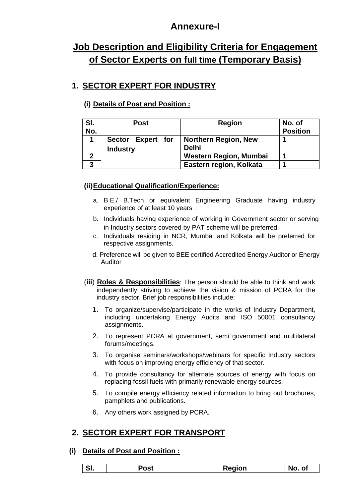# **Annexure-I**

# **Job Description and Eligibility Criteria for Engagement of Sector Experts on full time (Temporary Basis)**

# **1. SECTOR EXPERT FOR INDUSTRY**

## **(i) Details of Post and Position :**

| SI.<br>No. | <b>Post</b>                          | <b>Region</b>                        | No. of<br><b>Position</b> |
|------------|--------------------------------------|--------------------------------------|---------------------------|
|            | Sector Expert for<br><b>Industry</b> | Northern Region, New<br><b>Delhi</b> |                           |
|            |                                      | Western Region, Mumbai               |                           |
| າ          |                                      | Eastern region, Kolkata              |                           |

## **(ii)Educational Qualification/Experience:**

- a. B.E./ B.Tech or equivalent Engineering Graduate having industry experience of at least 10 years .
- b. Individuals having experience of working in Government sector or serving in Industry sectors covered by PAT scheme will be preferred.
- c. Individuals residing in NCR, Mumbai and Kolkata will be preferred for respective assignments.
- d. Preference will be given to BEE certified Accredited Energy Auditor or Energy Auditor
- (**iii**) **Roles & Responsibilities**: The person should be able to think and work independently striving to achieve the vision & mission of PCRA for the industry sector. Brief job responsibilities include:
	- 1. To organize/supervise/participate in the works of Industry Department, including undertaking Energy Audits and ISO 50001 consultancy assignments.
	- 2. To represent PCRA at government, semi government and multilateral forums/meetings.
	- 3. To organise seminars/workshops/webinars for specific Industry sectors with focus on improving energy efficiency of that sector.
	- 4. To provide consultancy for alternate sources of energy with focus on replacing fossil fuels with primarily renewable energy sources.
	- 5. To compile energy efficiency related information to bring out brochures, pamphlets and publications.
	- 6. Any others work assigned by PCRA.

## **2. SECTOR EXPERT FOR TRANSPORT**

### **(i) Details of Post and Position :**

| יימ<br>- ƏI.<br>ບວເ | Reaion | O1<br>No. |
|---------------------|--------|-----------|
|---------------------|--------|-----------|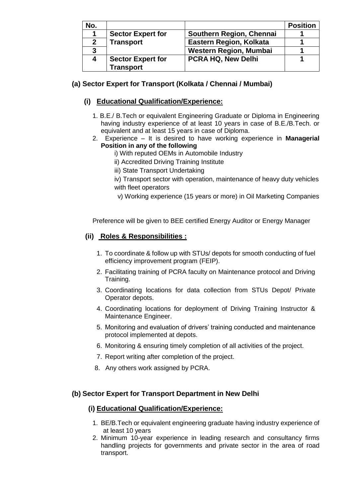| No.          |                          |                           | <b>Position</b> |
|--------------|--------------------------|---------------------------|-----------------|
|              | <b>Sector Expert for</b> | Southern Region, Chennai  |                 |
| $\mathbf{2}$ | <b>Transport</b>         | Eastern Region, Kolkata   |                 |
| 3            |                          | Western Region, Mumbai    |                 |
| 4            | <b>Sector Expert for</b> | <b>PCRA HQ, New Delhi</b> |                 |
|              | <b>Transport</b>         |                           |                 |

## **(a) Sector Expert for Transport (Kolkata / Chennai / Mumbai)**

## **(i) Educational Qualification/Experience:**

- 1. B.E./ B.Tech or equivalent Engineering Graduate or Diploma in Engineering having industry experience of at least 10 years in case of B.E./B.Tech. or equivalent and at least 15 years in case of Diploma.
- 2. Experience It is desired to have working experience in **Managerial Position in any of the following**
	- i) With reputed OEMs in Automobile Industry
	- ii) Accredited Driving Training Institute
	- iii) State Transport Undertaking
	- iv) Transport sector with operation, maintenance of heavy duty vehicles with fleet operators
	- v) Working experience (15 years or more) in Oil Marketing Companies

Preference will be given to BEE certified Energy Auditor or Energy Manager

## **(ii) Roles & Responsibilities :**

- 1. To coordinate & follow up with STUs/ depots for smooth conducting of fuel efficiency improvement program (FEIP).
- 2. Facilitating training of PCRA faculty on Maintenance protocol and Driving Training.
- 3. Coordinating locations for data collection from STUs Depot/ Private Operator depots.
- 4. Coordinating locations for deployment of Driving Training Instructor & Maintenance Engineer.
- 5. Monitoring and evaluation of drivers' training conducted and maintenance protocol implemented at depots.
- 6. Monitoring & ensuring timely completion of all activities of the project.
- 7. Report writing after completion of the project.
- 8. Any others work assigned by PCRA.

### **(b) Sector Expert for Transport Department in New Delhi**

### **(i) Educational Qualification/Experience:**

- 1. BE/B.Tech or equivalent engineering graduate having industry experience of at least 10 years
- 2. Minimum 10-year experience in leading research and consultancy firms handling projects for governments and private sector in the area of road transport.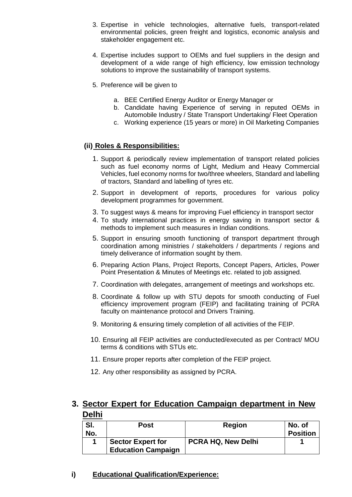- 3. Expertise in vehicle technologies, alternative fuels, transport-related environmental policies, green freight and logistics, economic analysis and stakeholder engagement etc.
- 4. Expertise includes support to OEMs and fuel suppliers in the design and development of a wide range of high efficiency, low emission technology solutions to improve the sustainability of transport systems.
- 5. Preference will be given to
	- a. BEE Certified Energy Auditor or Energy Manager or
	- b. Candidate having Experience of serving in reputed OEMs in Automobile Industry / State Transport Undertaking/ Fleet Operation
	- c. Working experience (15 years or more) in Oil Marketing Companies

#### **(ii) Roles & Responsibilities:**

- 1. Support & periodically review implementation of transport related policies such as fuel economy norms of Light, Medium and Heavy Commercial Vehicles, fuel economy norms for two/three wheelers, Standard and labelling of tractors, Standard and labelling of tyres etc.
- 2. Support in development of reports, procedures for various policy development programmes for government.
- 3. To suggest ways & means for improving Fuel efficiency in transport sector
- 4. To study international practices in energy saving in transport sector & methods to implement such measures in Indian conditions.
- 5. Support in ensuring smooth functioning of transport department through coordination among ministries / stakeholders / departments / regions and timely deliverance of information sought by them.
- 6. Preparing Action Plans, Project Reports, Concept Papers, Articles, Power Point Presentation & Minutes of Meetings etc. related to job assigned.
- 7. Coordination with delegates, arrangement of meetings and workshops etc.
- 8. Coordinate & follow up with STU depots for smooth conducting of Fuel efficiency improvement program (FEIP) and facilitating training of PCRA faculty on maintenance protocol and Drivers Training.
- 9. Monitoring & ensuring timely completion of all activities of the FEIP.
- 10. Ensuring all FEIP activities are conducted/executed as per Contract/ MOU terms & conditions with STUs etc.
- 11. Ensure proper reports after completion of the FEIP project.
- 12. Any other responsibility as assigned by PCRA.

## **3. Sector Expert for Education Campaign department in New Delhi**

| SI.<br>No. | <b>Post</b>                                           | <b>Region</b>             | No. of<br><b>Position</b> |
|------------|-------------------------------------------------------|---------------------------|---------------------------|
|            | <b>Sector Expert for</b><br><b>Education Campaign</b> | <b>PCRA HQ, New Delhi</b> |                           |

**i) Educational Qualification/Experience:**